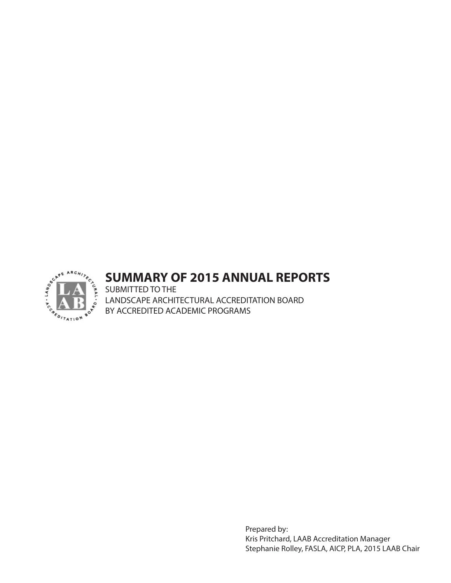

# **SUMMARY OF 2015 ANNUAL REPORTS**

SUBMITTED TO THE LANDSCAPE ARCHITECTURAL ACCREDITATION BOARD BY ACCREDITED ACADEMIC PROGRAMS

> Prepared by: Kris Pritchard, LAAB Accreditation Manager Stephanie Rolley, FASLA, AICP, PLA, 2015 LAAB Chair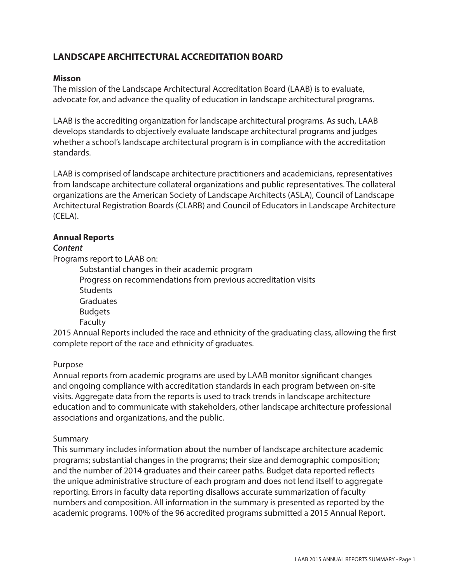## **LANDSCAPE ARCHITECTURAL ACCREDITATION BOARD**

### **Misson**

The mission of the Landscape Architectural Accreditation Board (LAAB) is to evaluate, advocate for, and advance the quality of education in landscape architectural programs.

LAAB is the accrediting organization for landscape architectural programs. As such, LAAB develops standards to objectively evaluate landscape architectural programs and judges whether a school's landscape architectural program is in compliance with the accreditation standards.

LAAB is comprised of landscape architecture practitioners and academicians, representatives from landscape architecture collateral organizations and public representatives. The collateral organizations are the American Society of Landscape Architects (ASLA), Council of Landscape Architectural Registration Boards (CLARB) and Council of Educators in Landscape Architecture (CELA).

#### **Annual Reports**

#### *Content*

Programs report to LAAB on:

Substantial changes in their academic program Progress on recommendations from previous accreditation visits **Students Graduates** Budgets **Faculty** 

2015 Annual Reports included the race and ethnicity of the graduating class, allowing the first complete report of the race and ethnicity of graduates.

#### Purpose

Annual reports from academic programs are used by LAAB monitor significant changes and ongoing compliance with accreditation standards in each program between on-site visits. Aggregate data from the reports is used to track trends in landscape architecture education and to communicate with stakeholders, other landscape architecture professional associations and organizations, and the public.

#### Summary

This summary includes information about the number of landscape architecture academic programs; substantial changes in the programs; their size and demographic composition; and the number of 2014 graduates and their career paths. Budget data reported reflects the unique administrative structure of each program and does not lend itself to aggregate reporting. Errors in faculty data reporting disallows accurate summarization of faculty numbers and composition. All information in the summary is presented as reported by the academic programs. 100% of the 96 accredited programs submitted a 2015 Annual Report.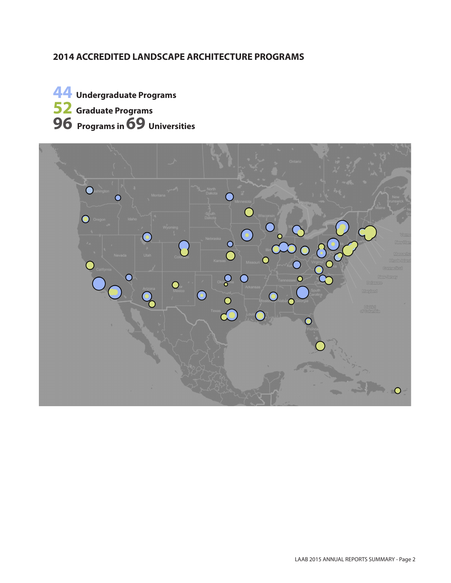## **2014 ACCREDITED LANDSCAPE ARCHITECTURE PROGRAMS**



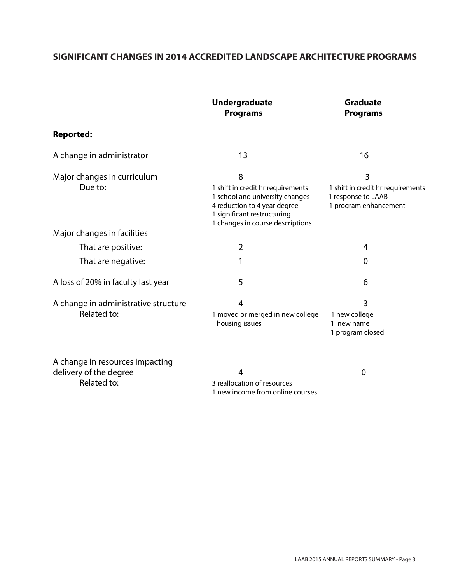## **SIGNIFICANT CHANGES IN 2014 ACCREDITED LANDSCAPE ARCHITECTURE PROGRAMS**

|                                                           | <b>Undergraduate</b><br><b>Programs</b>                                                                                                                                      | <b>Graduate</b><br><b>Programs</b>                                                    |  |
|-----------------------------------------------------------|------------------------------------------------------------------------------------------------------------------------------------------------------------------------------|---------------------------------------------------------------------------------------|--|
| <b>Reported:</b>                                          |                                                                                                                                                                              |                                                                                       |  |
| A change in administrator                                 | 13                                                                                                                                                                           | 16                                                                                    |  |
| Major changes in curriculum<br>Due to:                    | 8<br>1 shift in credit hr requirements<br>1 school and university changes<br>4 reduction to 4 year degree<br>1 significant restructuring<br>1 changes in course descriptions | 3<br>1 shift in credit hr requirements<br>1 response to LAAB<br>1 program enhancement |  |
| Major changes in facilities                               |                                                                                                                                                                              |                                                                                       |  |
| That are positive:                                        | $\overline{2}$                                                                                                                                                               | 4                                                                                     |  |
| That are negative:                                        |                                                                                                                                                                              | $\mathbf 0$                                                                           |  |
| A loss of 20% in faculty last year                        | 5                                                                                                                                                                            | 6                                                                                     |  |
| A change in administrative structure<br>Related to:       | $\overline{4}$<br>1 moved or merged in new college<br>housing issues                                                                                                         | $\overline{3}$<br>1 new college<br>1 new name<br>1 program closed                     |  |
| A change in resources impacting<br>delivery of the degree | 4                                                                                                                                                                            | 0                                                                                     |  |

Related to: 3 reallocation of resources 1 new income from online courses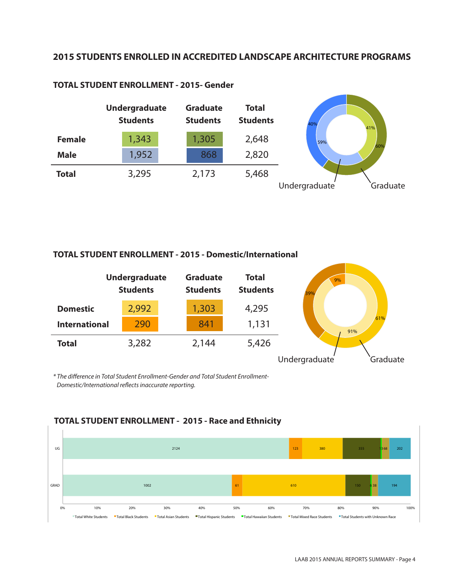### **2015 STUDENTS ENROLLED IN ACCREDITED LANDSCAPE ARCHITECTURE PROGRAMS**



#### **TOTAL STUDENT ENROLLMENT - 2015- Gender**

#### **TOTAL STUDENT ENROLLMENT - 2015 - Domestic/International**

|                      | <b>Undergraduate</b><br><b>Students</b> | <b>Graduate</b><br><b>Students</b> | <b>Total</b><br><b>Students</b> | 9%<br>39%     |            |
|----------------------|-----------------------------------------|------------------------------------|---------------------------------|---------------|------------|
| <b>Domestic</b>      | 2,992                                   | 1,303                              | 4,295                           |               |            |
| <b>International</b> | 290                                     | 841                                | 1,131                           |               | 61%<br>91% |
| <b>Total</b>         | 3,282                                   | 2,144                              | 5,426                           |               |            |
|                      |                                         |                                    |                                 | Undergraduate | Graduate   |

*\* The difference in Total Student Enrollment-Gender and Total Student Enrollment-Domestic/International reflects inaccurate reporting.* 



#### **TOTAL STUDENT ENROLLMENT - 2015 - Race and Ethnicity**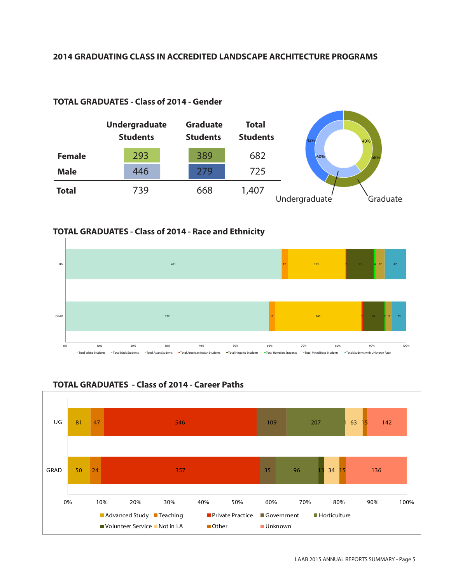#### **2014 GRADUATING CLASS IN ACCREDITED LANDSCAPE ARCHITECTURE PROGRAMS**



#### **TOTAL GRADUATES - Class of 2014 - Gender**

#### **TOTAL GRADUATES - Class of 2014 - Race and Ethnicity**





## **TOTAL GRADUATES - Class of 2014 - Career Paths**